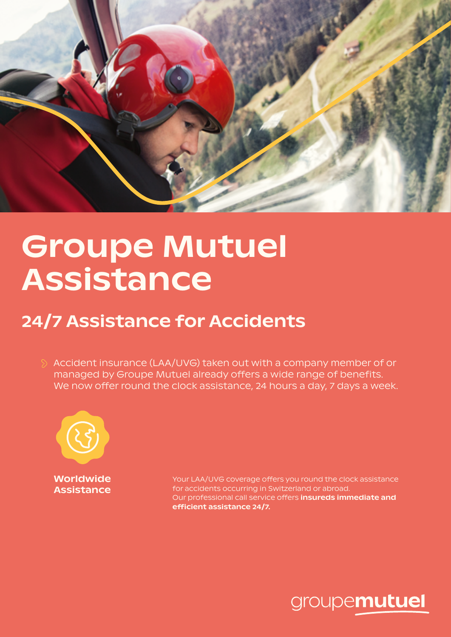

## Groupe Mutuel Assistance

## 24/7 Assistance for Accidents

 $\Diamond$  Accident insurance (LAA/UVG) taken out with a company member of or managed by Groupe Mutuel already offers a wide range of benefits. We now offer round the clock assistance, 24 hours a day, 7 days a week.



Worldwide Assistance

Your LAA/UVG coverage offers you round the clock assistance for accidents occurring in Switzerland or abroad. Our professional call service offers insureds immediate and efficient assistance 24/7.